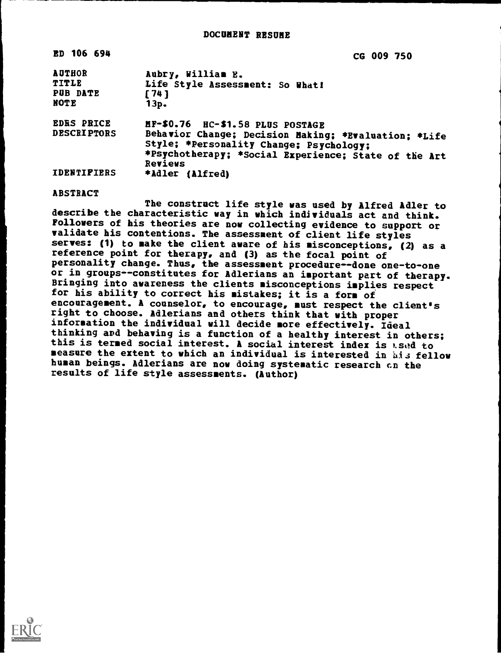| <b>ED 106 694</b>                          | CG 009 750                                                                                                                                                                                             |
|--------------------------------------------|--------------------------------------------------------------------------------------------------------------------------------------------------------------------------------------------------------|
| <b>AUTHOR</b><br>TITLE<br>PUB DATE<br>NOTE | Aubry, William E.<br>Life Style Assessment: So What!<br>[74]<br>13p.                                                                                                                                   |
| <b>EDRS PRICE</b><br><b>DESCRIPTORS</b>    | HF-\$0.76 HC-\$1.58 PLUS POSTAGE<br>Behavior Change; Decision Making; *Evaluation; *Life<br>Style; *Personality Change; Psychology;<br>*Psychotherapy; *Social Experience; State of the Art<br>Reviews |
| <b>IDENTIFIERS</b>                         | *Adler (Alfred)                                                                                                                                                                                        |

#### **ABSTRACT**

The construct life style was used by Alfred Adler to describe the characteristic way in which individuals act and think. Followers of his theories are now collecting evidence to support or validate his contentions. The assessment of client life styles serves: (1) to make the client aware of his misconceptions, (2) as a reference point for therapy, and (3) as the focal point of personality change. Thus, the assessment procedure--done one-to-one or in groups--constitutes for Adlerians an important part of therapy. Bringing into awareness the clients misconceptions implies respect for his ability to correct his mistakes; it is a form of encouragement. A counselor, to encourage, must respect the client's right to choose. Adlerians and others think that with proper information the individual will decide more effectively. Ideal thinking and behaving is a function of a healthy interest in others; this is termed social interest. A social interest index is a sed to measure the extent to which an individual is interested in his fellow human beings. Adlerians are now doing systematic research on the results of life style assessments. (Author)

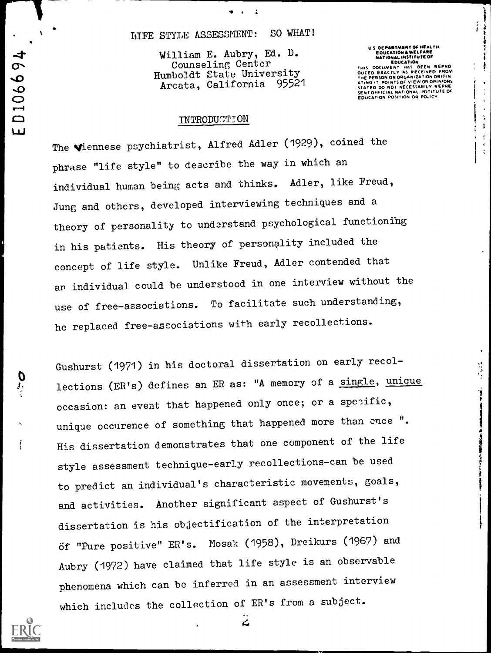# LIFE STYLE ASSESSMENT: SO WHAT!

William E. Aubry, Ed. D. Counseling Center Humboldt State University<br>Arcata, California 95521 Arcata, California

US GENAMENT UP AND RELEASE.<br>
EQUICATION A MELFARE<br>
NATIONAL INSTITUTE OF<br>
THIS DOCUMENT HAS BEEN REPRO<br>
OUCEO EXACTLY AS RECEIVED FROM<br>
THE PERSON OR ORIGANIZATION ORIGIN<br>
ATING IT POINTS OF VIEW OR OPINIONS<br>
STATEO DO NOT

Í

**HERE ARE BETWEEN** 

 $\bullet$  $\frac{1}{4}$  $\bar{\mathbf{x}}$  $\ddot{\phantom{a}}$  $\frac{1}{\epsilon}$  $\ddot{\bullet}$ ł  $\mathcal{L}$ ķ  $\mathbf{z}^{\prime}$  $\frac{1}{2}$ 

# INTRODUCTION

The viennese psychiatrist, Alfred Adler (1929), coined the phrase "life style" to describe the way in which an individual human being acts and thinks. Adler, like Freud, Jung and others, developed interviewing techniques and a theory of personality to understand psychological functioning in his patients. His theory of personality included the concept of life style. Unlike Freud, Adler contended that an individual could be understood in one interview without the use of free-associations. To facilitate such understanding, he replaced free-associations with early recollections.

Gushurst (1971) in his doctoral dissertation on early recollections (ER's) defines an ER as: "A memory of a single, unique occasion: an event that happened only once; or a specific, unique occurence of something that happened more than once ". His dissertation demonstrates that one component of the life style assessment technique-early recollections-can be used to predict an individual's characteristic movements, goals, and activities. Another significant aspect of Gushurst's dissertation is his objectification of the interpretation öf "Pure positive" ER's. Mosak (1958), Dreikurs (1967) and Aubry (1972) have claimed that life style is an observable phenomena which can be inferred in an assessment interview which includes the collection of ER's from a subject.



 $\mathbf{r}$ 

ED10669

ሬ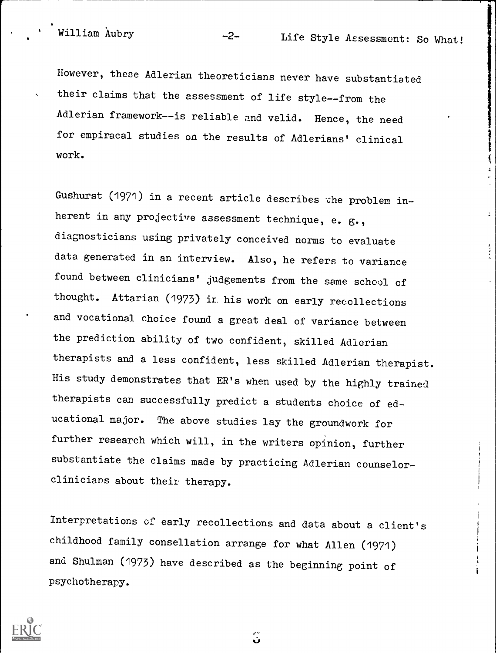į

 $\ddot{z}$ 

However, these Adlerian theoreticians never have substantiated their claims that the assessment of life style--from the Adlerian framework--is reliable and valid. Hence, the need for empiracal studies on the results of Adlerians' clinical work.

Gushurst (1971) in a recent article describes zhe problem inherent in any projective assessment technique, e. g., diagnosticians using privately conceived norms to evaluate data generated in an interview. Also, he refers to variance found between clinicians' judgements from the same school of thought. Attarian (1973) in his work on early recollections and vocational choice found a great deal of variance between the prediction ability of two confident, skilled Adlerian therapists and a less confident, less skilled Adlerian therapist. His study demonstrates that ER's when used by the highly trained therapists can successfully predict a students choice of educational major. The above studies lay the groundwork for further research which will, in the writers opinion, further substantiate the claims made by practicing Adlerian counselorclinicians about their therapy.

Interpretations of early recollections and data about a client's childhood family consellation arrange for what Allen (1971) and Shulman (1973) have described as the beginning point of psychotherapy.



 $\mathbb{S}$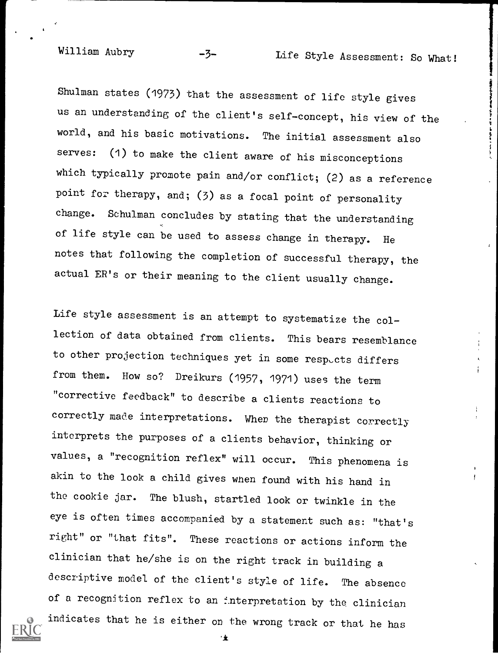あということをし

Shulman states (1973) that the assessment of life style gives us an understanding of the client's self-concept, his view of the<br>world, and his basic motivations. The initial assessment also<br>serves: (1) to make the client aware of his missenservice world, and his basic motivations. The initial assessment also serves: (1) to make the client aware of his misconceptions which typically promote pain and/or conflict; (2) as a reference point for therapy, and; (3) as a focal point of personality change. Schulman concludes by stating that the understanding of life style can be used to assess change in therapy. He notes that following the completion of successful therapy, the actual ER's or their meaning to the client usually change.

Life style assessment is an attempt to systematize the collection of data obtained from clients. This bears resemblance to other projection techniques yet in some respocts differs from them. How so? Dreikurs (1957, 1971) uses the term "corrective feedback" to describe a clients reactions to correctly made interpretations. When the therapist correctly interprets the purposes of a clients behavior, thinking or values, a "recognition reflex" will occur. This phenomena is akin to the look a child gives when found with his hand in the cookie jar. The blush, startled look or twinkle in the eye is often times accompanied by a statement such as: "that's right" or "that fits". These reactions or actions inform the clinician that he/she is on the right track in building <sup>a</sup> descriptive model of the client's style of life. The absence of a recognition reflex to an interpretation by the clinician indicates that he is either on the wrong track or that he has

土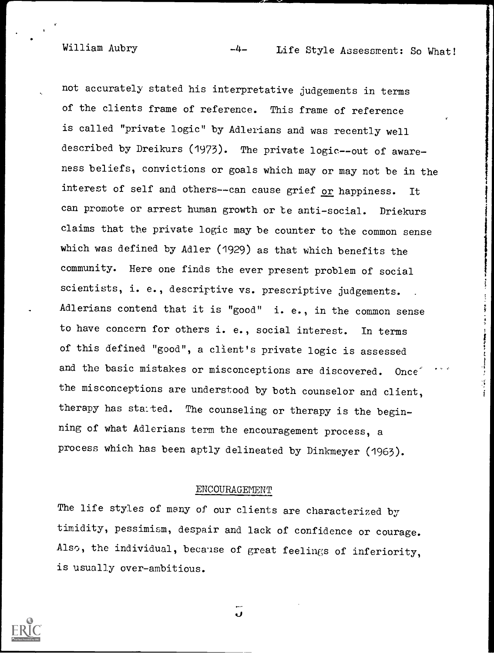William Aubry  $-4-$  Life Style Assessment: So What!

洋

not accurately stated his interpretative judgements in terms of the clients frame of reference. This frame of reference is called "private logic" by Adlerians and was recently well described by Dreikurs (1973). The private logic--out of awareness beliefs, convictions or goals which may or may not be in the interest of self and others--can cause grief or happiness. It can promote or arrest human growth or te anti-social. Driekurs claims that the private logic may be counter to the common sense which was defined by Adler (1929) as that which benefits the community. Here one finds the ever present problem of social scientists, i. e., descriptive vs. prescriptive judgements. Adlerians contend that it is "good" i. e., in the common sense to have concern for others i. e., social interest. In terms of this defined "good", a client's private logic is assessed and the basic mistakes or misconceptions are discovered. Once' the misconceptions are understood by both counselor and client, therapy has started. The counseling or therapy is the beginning of what Adlerians term the encouragement process, a process which has been aptly delineated by Dinkmeyer (1963).

## ENCOURAGEMENT

The life styles of many of our clients are characterized by timidity, pessimism, despair and lack of confidence or courage. Also, the individual, because of great feelings of inferiority, is usually over-ambitious.



I.J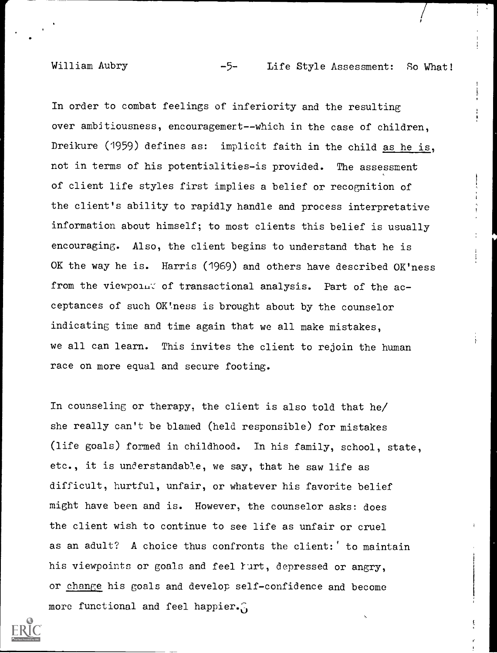j.

In order to combat feelings of inferiority and the resulting over ambitiousness, encouragemert--which in the case of children, Dreikure (1959) defines as: implicit faith in the child as he is, not in terms of his potentialities-is provided. The assessment of client life styles first implies a belief or recognition of the client's ability to rapidly handle and process interpretative information about himself; to most clients this belief is usually encouraging. Also, the client begins to understand that he is OK the way he is. Harris (1969) and others have described OK'ness from the viewpolic of transactional analysis. Part of the acceptances of such OK'ness is brought about by the counselor indicating time and time again that we all make mistakes, we all can learn. This invites the client to rejoin the human race on more equal and secure footing.

In counseling or therapy, the client is also told that he/ she really can't be blamed (held responsible) for mistakes (life goals) formed in childhood. In his family, school, state, etc., it is understandable, we say, that he saw life as difficult, hurtful, unfair, or whatever his favorite belief might have been and is. However, the counselor asks: does the client wish to continue to see life as unfair or cruel as an adult? A choice thus confronts the client:' to maintain his viewpoints or goals and feel rurt, depressed or angry, or change his goals and develop self-confidence and become more functional and feel happier.

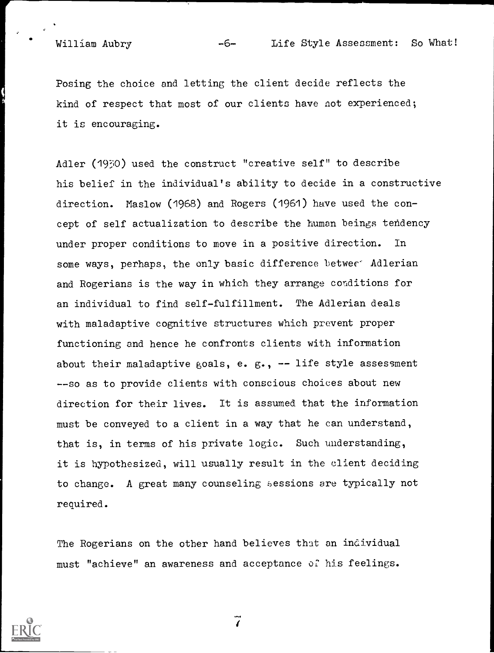Posing the choice and letting the client decide reflects the kind of respect that most of our clients have not experienced; it is encouraging.

Adler (1930) used the construct "creative self" to describe his belief in the individual's ability to decide in a constructive direction. Maslow (1968) and Rogers (1961) have used the concept of self actualization to describe the human beings tendency under proper conditions to move in a positive direction. In some ways, perhaps, the only basic difference betwee<sup>\*</sup> Adlerian and Rogerians is the way in which they arrange conditions for an individual to find self-fulfillment. The Adlerian deals with maladaptive cognitive structures which prevent proper functioning and hence he confronts clients with information about their maladaptive goals, e. g.,  $--$  life style assessment --so as to provide clients with conscious choices about new direction for their lives. It is assumed that the information must be conveyed to a client in a way that he can understand, that is, in terms of his private logic. Such understanding, it is hypothesized, will usually result in the client deciding to change. A great many counseling sessions are typically not required.

The Rogerians on the other hand believes that an individual must "achieve" an awareness and acceptance or his feelings.



 $\tilde{\mathbf{z}}$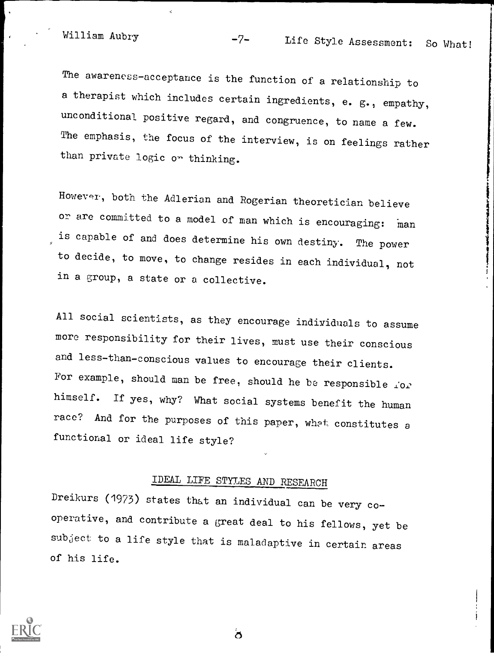William Aubry -7- Life Style Assessment: So What!

The awareness-acceptance is the function of a relationship to a therapist which includes certain ingredients, e. g., empathy, unconditional positive regard, and congruence, to name a few. The emphasis, the focus of the interview, is on feelings rather than private logic or thinking.

However, both the Adlerian and Rogerian theoretician believe or are committed to a model of man which is encouraging: man is capable of and does determine his own destiny. The power to decide, to move, to change resides in each individual, not in a group, a state or a collective.

All social scientists, as they encourage individuals to assume more responsibility for their lives, must use their conscious and less-than-conscious values to encourage their clients. For example, should man be free, should he be responsible  $101$ himself. If yes, why? What social systems benefit the human race? And for the purposes of this paper, what constitutes a functional or ideal life style?

# IDEAL LIFE STYLES AND RESEARCH

Dreikurs (1973) states that an individual can be very cooperative, and contribute a great deal to his fellows, yet be subject to a life style that is maladaptive in certain areas of his life.



 $\sigma$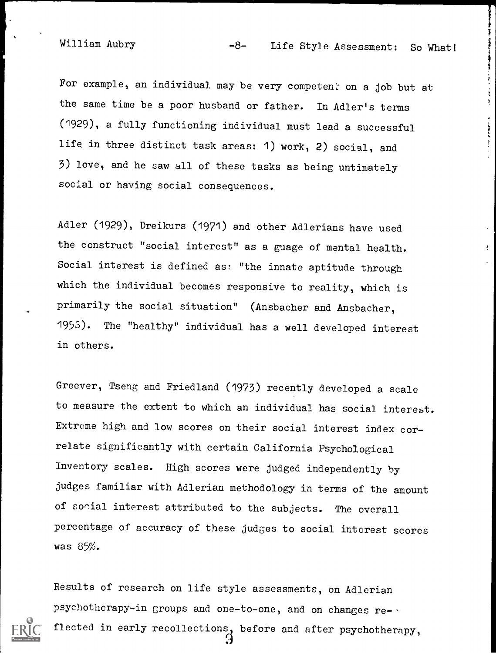**The American State of State Ave** 

William Aubry  $-8-$  Life Style Assessment: So What!<br>For example, an individual may be very competent on a job but at<br>the same time be a poor bushand or father. In Adlanta terms For example, an individual may be very competent on a job but at the same time be a poor husband or father. In Adler's terms (1929), a fully functioning individual must lead a successful life in three distinct task areas: 1) work, 2) social, and 3) love, and he saw all of these tasks as being untimately social or having social consequences.

Adler (1929), Dreikurs (1971) and other Adlerians have used the construct "social interest" as a guage of mental health. Social interest is defined as: "the innate aptitude through which the individual becomes responsive to reality, which is primarily the social situation" (Ansbacher and Ansbacher, 1953). The "healthy" individual has a well developed interest in others.

Greever, Tseng and Friedland (1973) recently developed a scale to measure the extent to which an individual has social interest. Extreme high and low scores on their social interest index correlate significantly with certain California Psychological Inventory scales. High scores were judged independently by judges familiar with Adlerian methodology in terms of the amount of social interest attributed to the subjects. The overall percentage of accuracy of these judges to social interest scores was 85%.

Results of research on life style assessments, on Adlerian psychotherapy-in groups and one-to-one, and on changes re- flected in early recollections, before and after psychotherapy,  $\Theta$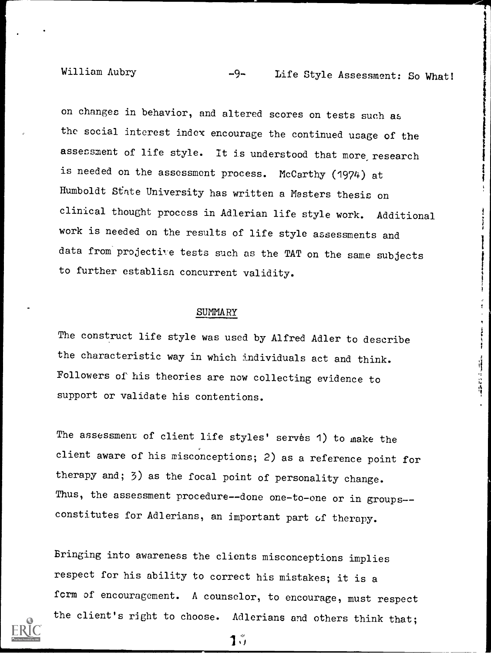William Aubry  $-9-$  Life Style Assessment: So What!

**The Second Second Second** 

on changes in behavior, and altered scores on tests such as the social interest index encourage the continued usage of the assessment of life style. it is understood that more, research is needed on the assessment process. McCarthy (1974) at Humboldt State University has written a Masters thesis on clinical thought process in Adlerian life style work. Additional work is needed on the results of life style assessments and data from projective tests such as the TAT on the same subjects to further establish concurrent validity.

## SUMMARY

The construct life style was used by Alfred Adler to describe the characteristic way in which individuals act and think. Followers of his theories are now collecting evidence to support or validate his contentions.

The assessment of client life styles' serves 1) to make the client aware of his misconceptions; 2) as a reference point for therapy and; 3) as the focal point of personality change. Thus, the assessment procedure--done one-to-one or in groups-constitutes for Adlerians, an important part of therapy.

Bringing into awareness the clients misconceptions implies respect for his ability to correct his mistakes; it is <sup>a</sup> form of encouragement. A counselor, to encourage, must respect the client's right to choose. Adlerians and others think that;



 $\mathbf{1}$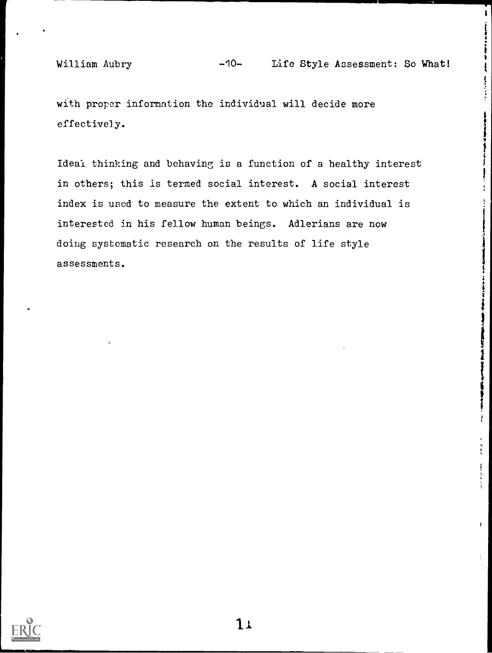1

 $\mathbf{r}$ 

 $\mathbf{i}$ 

**The County is opportunity** 

÷ I

with proper information the individual will decide more effective]y.

Ideal thinking and behaving is a function of a healthy interest in others; this is termed social interest. A social interest index is used to measure the extent to which an individual is interested in his fellow human beings. Adlerians are now doing systematic research on the results of life style assessments.

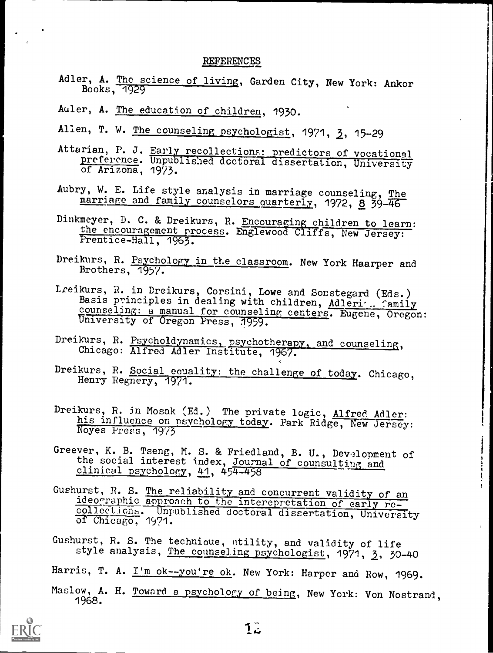### REFERENCES

- Adler, A. The science of living, Garden City, New York: Ankor Books, 1929
- Auler, A. The education of children, 1930.
- Alien, T. W. The counseling psychologist, 1971, 3, 15-29
- Attarian, P. J. Early recollections: predictors of vocational preference. Unpublished doctoral dissertation, University
- Aubry, W. E. Life style analysis in marriage counseling, The marriage and family counselors quarterly, 1972, 8 39-46
- Dinkmeyer, D. C. & Dreikurs, R. Encouraging children to learn: the encouragement process. Englewood Cliffs, New Jersey: Prentice-Hall, 1963.
- Dreikurs, R. Psychology in the classroom. New York Haarper and Brothers, 1957.
- Lreikurs, R. in Dreikurs, Corsini, Lowe and Sonstegard (Eds.)<br>Basis principles in dealing with children, Adleri,... family counseling: a manual for counseling centers. Eugene, Oregon: University of Oregon Press, 1959.
- Dreikurs, R. Psycholdynamics, psychotherapy, and counseling, Chicago: Alfred Adler Institute, 1967.
- Dreikurs, R. Social equality: the challenge of today. Chicago, Henry Regnery, 1971.
- Dreikurs, R. in Mosak (Ed.) The private logic, Alfred Adler: his influence on psychology today. Park Ridge, New Jersey:<br>Noyes Fress, 1973
- Greever, K. B. Tseng, M. S. & Friedland, B. U., Development of the social interest index, Journal of counsulting and clinical psychology, 41, 454-458
- Gushurst, R. S. The reliability and concurrent validity of an ideographic approach to the interepretation of early recollections. Unpublished doctoral dissertation, University of Chicago, 1971.
- Gushurst, R. S. The technique, utility, and validity of life style analysis, The counseling psychologist, 1971, 3, 30-40
- Harris, T. A. I'm ok--you're ok. New York: Harper and Row, 1969.
- Maslow, A. H. Toward a psychology of being, New York: Von Nostrand, 1968.